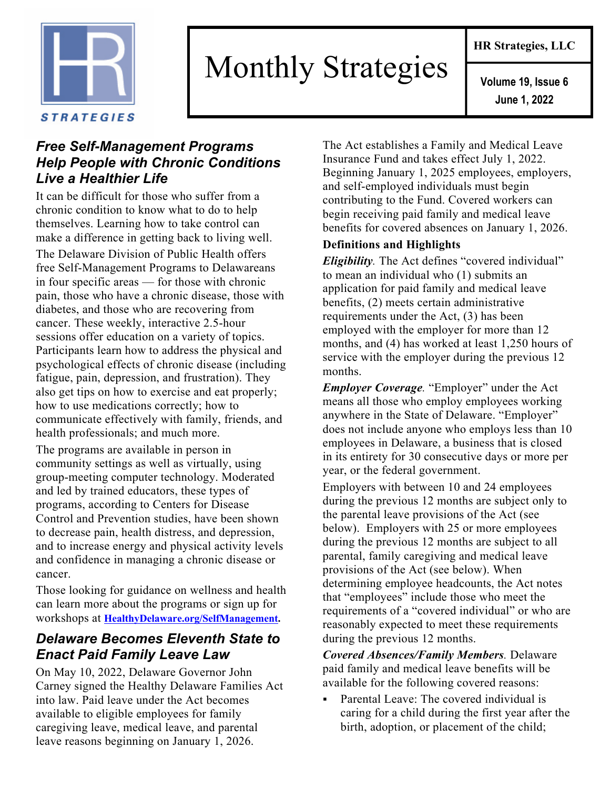

# Monthly Strategies

### *Free Self-Management Programs Help People with Chronic Conditions Live a Healthier Life*

It can be difficult for those who suffer from a chronic condition to know what to do to help themselves. Learning how to take control can make a difference in getting back to living well. The Delaware Division of Public Health offers free Self-Management Programs to Delawareans in four specific areas — for those with chronic pain, those who have a chronic disease, those with diabetes, and those who are recovering from cancer. These weekly, interactive 2.5-hour sessions offer education on a variety of topics. Participants learn how to address the physical and psychological effects of chronic disease (including fatigue, pain, depression, and frustration). They also get tips on how to exercise and eat properly; how to use medications correctly; how to communicate effectively with family, friends, and health professionals; and much more.

The programs are available in person in community settings as well as virtually, using group-meeting computer technology. Moderated and led by trained educators, these types of programs, according to Centers for Disease Control and Prevention studies, have been shown to decrease pain, health distress, and depression, and to increase energy and physical activity levels and confidence in managing a chronic disease or cancer.

Those looking for guidance on wellness and health can learn more about the programs or sign up for workshops at **HealthyDelaware.org/SelfManagement.**

## *Delaware Becomes Eleventh State to Enact Paid Family Leave Law*

On May 10, 2022, Delaware Governor John Carney signed the Healthy Delaware Families Act into law. Paid leave under the Act becomes available to eligible employees for family caregiving leave, medical leave, and parental leave reasons beginning on January 1, 2026.

The Act establishes a Family and Medical Leave Insurance Fund and takes effect July 1, 2022. Beginning January 1, 2025 employees, employers, and self-employed individuals must begin contributing to the Fund. Covered workers can begin receiving paid family and medical leave benefits for covered absences on January 1, 2026.

#### **Definitions and Highlights**

*Eligibility.* The Act defines "covered individual" to mean an individual who (1) submits an application for paid family and medical leave benefits, (2) meets certain administrative requirements under the Act, (3) has been employed with the employer for more than 12 months, and (4) has worked at least 1,250 hours of service with the employer during the previous 12 months.

*Employer Coverage.* "Employer" under the Act means all those who employ employees working anywhere in the State of Delaware. "Employer" does not include anyone who employs less than 10 employees in Delaware, a business that is closed in its entirety for 30 consecutive days or more per year, or the federal government.

Employers with between 10 and 24 employees during the previous 12 months are subject only to the parental leave provisions of the Act (see below). Employers with 25 or more employees during the previous 12 months are subject to all parental, family caregiving and medical leave provisions of the Act (see below). When determining employee headcounts, the Act notes that "employees" include those who meet the requirements of a "covered individual" or who are reasonably expected to meet these requirements during the previous 12 months.

*Covered Absences/Family Members.* Delaware paid family and medical leave benefits will be available for the following covered reasons:

§ Parental Leave: The covered individual is caring for a child during the first year after the birth, adoption, or placement of the child;